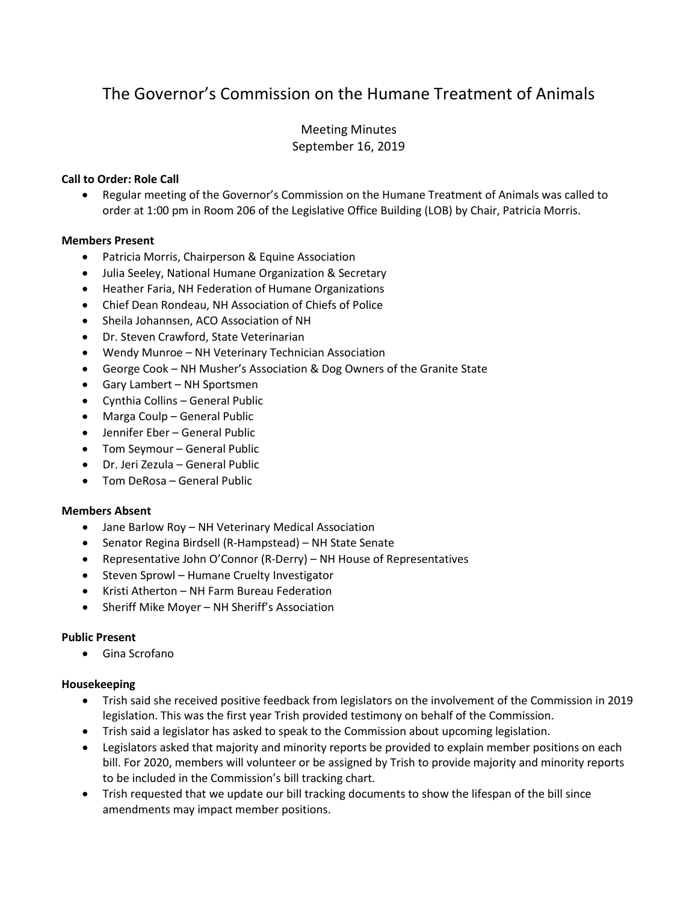# The Governor's Commission on the Humane Treatment of Animals

# Meeting Minutes September 16, 2019

# **Call to Order: Role Call**

• Regular meeting of the Governor's Commission on the Humane Treatment of Animals was called to order at 1:00 pm in Room 206 of the Legislative Office Building (LOB) by Chair, Patricia Morris.

## **Members Present**

- Patricia Morris, Chairperson & Equine Association
- Julia Seeley, National Humane Organization & Secretary
- Heather Faria, NH Federation of Humane Organizations
- Chief Dean Rondeau, NH Association of Chiefs of Police
- Sheila Johannsen, ACO Association of NH
- Dr. Steven Crawford, State Veterinarian
- Wendy Munroe NH Veterinary Technician Association
- George Cook NH Musher's Association & Dog Owners of the Granite State
- Gary Lambert NH Sportsmen
- Cynthia Collins General Public
- Marga Coulp General Public
- Jennifer Eber General Public
- Tom Seymour General Public
- Dr. Jeri Zezula General Public
- Tom DeRosa General Public

## **Members Absent**

- Jane Barlow Roy NH Veterinary Medical Association
- Senator Regina Birdsell (R-Hampstead) NH State Senate
- Representative John O'Connor (R-Derry) NH House of Representatives
- Steven Sprowl Humane Cruelty Investigator
- Kristi Atherton NH Farm Bureau Federation
- Sheriff Mike Moyer NH Sheriff's Association

## **Public Present**

• Gina Scrofano

#### **Housekeeping**

- Trish said she received positive feedback from legislators on the involvement of the Commission in 2019 legislation. This was the first year Trish provided testimony on behalf of the Commission.
- Trish said a legislator has asked to speak to the Commission about upcoming legislation.
- Legislators asked that majority and minority reports be provided to explain member positions on each bill. For 2020, members will volunteer or be assigned by Trish to provide majority and minority reports to be included in the Commission's bill tracking chart.
- Trish requested that we update our bill tracking documents to show the lifespan of the bill since amendments may impact member positions.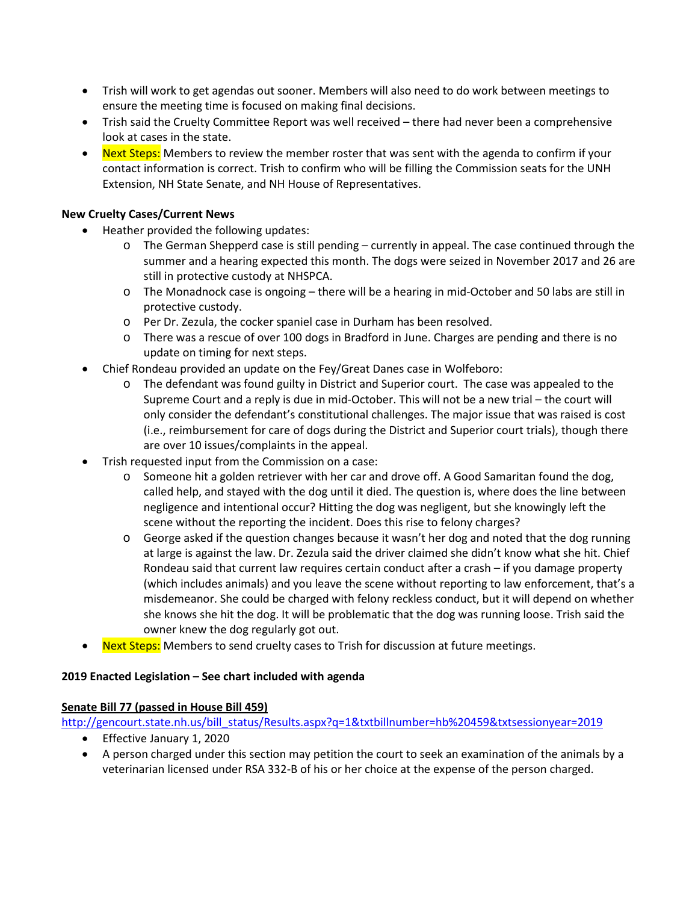- Trish will work to get agendas out sooner. Members will also need to do work between meetings to ensure the meeting time is focused on making final decisions.
- Trish said the Cruelty Committee Report was well received there had never been a comprehensive look at cases in the state.
- Next Steps: Members to review the member roster that was sent with the agenda to confirm if your contact information is correct. Trish to confirm who will be filling the Commission seats for the UNH Extension, NH State Senate, and NH House of Representatives.

# **New Cruelty Cases/Current News**

- Heather provided the following updates:
	- $\circ$  The German Shepperd case is still pending currently in appeal. The case continued through the summer and a hearing expected this month. The dogs were seized in November 2017 and 26 are still in protective custody at NHSPCA.
	- o The Monadnock case is ongoing there will be a hearing in mid-October and 50 labs are still in protective custody.
	- o Per Dr. Zezula, the cocker spaniel case in Durham has been resolved.
	- o There was a rescue of over 100 dogs in Bradford in June. Charges are pending and there is no update on timing for next steps.
- Chief Rondeau provided an update on the Fey/Great Danes case in Wolfeboro:
	- o The defendant was found guilty in District and Superior court. The case was appealed to the Supreme Court and a reply is due in mid-October. This will not be a new trial – the court will only consider the defendant's constitutional challenges. The major issue that was raised is cost (i.e., reimbursement for care of dogs during the District and Superior court trials), though there are over 10 issues/complaints in the appeal.
- Trish requested input from the Commission on a case:
	- o Someone hit a golden retriever with her car and drove off. A Good Samaritan found the dog, called help, and stayed with the dog until it died. The question is, where does the line between negligence and intentional occur? Hitting the dog was negligent, but she knowingly left the scene without the reporting the incident. Does this rise to felony charges?
	- o George asked if the question changes because it wasn't her dog and noted that the dog running at large is against the law. Dr. Zezula said the driver claimed she didn't know what she hit. Chief Rondeau said that current law requires certain conduct after a crash – if you damage property (which includes animals) and you leave the scene without reporting to law enforcement, that's a misdemeanor. She could be charged with felony reckless conduct, but it will depend on whether she knows she hit the dog. It will be problematic that the dog was running loose. Trish said the owner knew the dog regularly got out.
- Next Steps: Members to send cruelty cases to Trish for discussion at future meetings.

## **2019 Enacted Legislation – See chart included with agenda**

## **Senate Bill 77 (passed in House Bill 459)**

[http://gencourt.state.nh.us/bill\\_status/Results.aspx?q=1&txtbillnumber=hb%20459&txtsessionyear=2019](http://gencourt.state.nh.us/bill_status/Results.aspx?q=1&txtbillnumber=hb%20459&txtsessionyear=2019)

- Effective January 1, 2020
- A person charged under this section may petition the court to seek an examination of the animals by a veterinarian licensed under RSA 332-B of his or her choice at the expense of the person charged.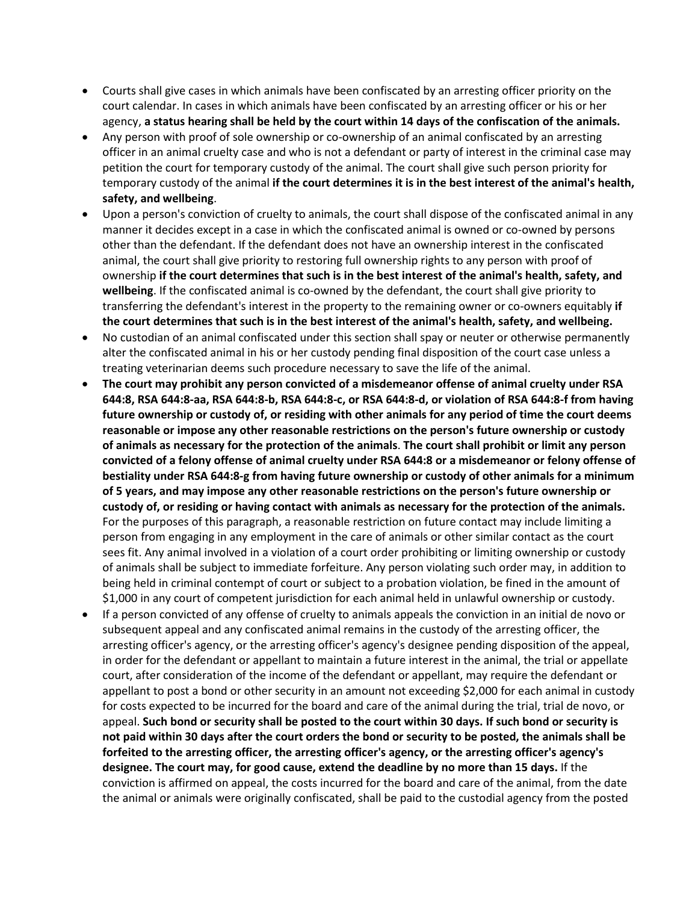- Courts shall give cases in which animals have been confiscated by an arresting officer priority on the court calendar. In cases in which animals have been confiscated by an arresting officer or his or her agency, **a status hearing shall be held by the court within 14 days of the confiscation of the animals.**
- Any person with proof of sole ownership or co-ownership of an animal confiscated by an arresting officer in an animal cruelty case and who is not a defendant or party of interest in the criminal case may petition the court for temporary custody of the animal. The court shall give such person priority for temporary custody of the animal **if the court determines it is in the best interest of the animal's health, safety, and wellbeing**.
- Upon a person's conviction of cruelty to animals, the court shall dispose of the confiscated animal in any manner it decides except in a case in which the confiscated animal is owned or co-owned by persons other than the defendant. If the defendant does not have an ownership interest in the confiscated animal, the court shall give priority to restoring full ownership rights to any person with proof of ownership **if the court determines that such is in the best interest of the animal's health, safety, and wellbeing**. If the confiscated animal is co-owned by the defendant, the court shall give priority to transferring the defendant's interest in the property to the remaining owner or co-owners equitably **if the court determines that such is in the best interest of the animal's health, safety, and wellbeing.**
- No custodian of an animal confiscated under this section shall spay or neuter or otherwise permanently alter the confiscated animal in his or her custody pending final disposition of the court case unless a treating veterinarian deems such procedure necessary to save the life of the animal.
- **The court may prohibit any person convicted of a misdemeanor offense of animal cruelty under RSA 644:8, RSA 644:8-aa, RSA 644:8-b, RSA 644:8-c, or RSA 644:8-d, or violation of RSA 644:8-f from having future ownership or custody of, or residing with other animals for any period of time the court deems reasonable or impose any other reasonable restrictions on the person's future ownership or custody of animals as necessary for the protection of the animals**. **The court shall prohibit or limit any person convicted of a felony offense of animal cruelty under RSA 644:8 or a misdemeanor or felony offense of bestiality under RSA 644:8-g from having future ownership or custody of other animals for a minimum of 5 years, and may impose any other reasonable restrictions on the person's future ownership or custody of, or residing or having contact with animals as necessary for the protection of the animals.** For the purposes of this paragraph, a reasonable restriction on future contact may include limiting a person from engaging in any employment in the care of animals or other similar contact as the court sees fit. Any animal involved in a violation of a court order prohibiting or limiting ownership or custody of animals shall be subject to immediate forfeiture. Any person violating such order may, in addition to being held in criminal contempt of court or subject to a probation violation, be fined in the amount of \$1,000 in any court of competent jurisdiction for each animal held in unlawful ownership or custody.
- If a person convicted of any offense of cruelty to animals appeals the conviction in an initial de novo or subsequent appeal and any confiscated animal remains in the custody of the arresting officer, the arresting officer's agency, or the arresting officer's agency's designee pending disposition of the appeal, in order for the defendant or appellant to maintain a future interest in the animal, the trial or appellate court, after consideration of the income of the defendant or appellant, may require the defendant or appellant to post a bond or other security in an amount not exceeding \$2,000 for each animal in custody for costs expected to be incurred for the board and care of the animal during the trial, trial de novo, or appeal. **Such bond or security shall be posted to the court within 30 days. If such bond or security is not paid within 30 days after the court orders the bond or security to be posted, the animals shall be forfeited to the arresting officer, the arresting officer's agency, or the arresting officer's agency's designee. The court may, for good cause, extend the deadline by no more than 15 days.** If the conviction is affirmed on appeal, the costs incurred for the board and care of the animal, from the date the animal or animals were originally confiscated, shall be paid to the custodial agency from the posted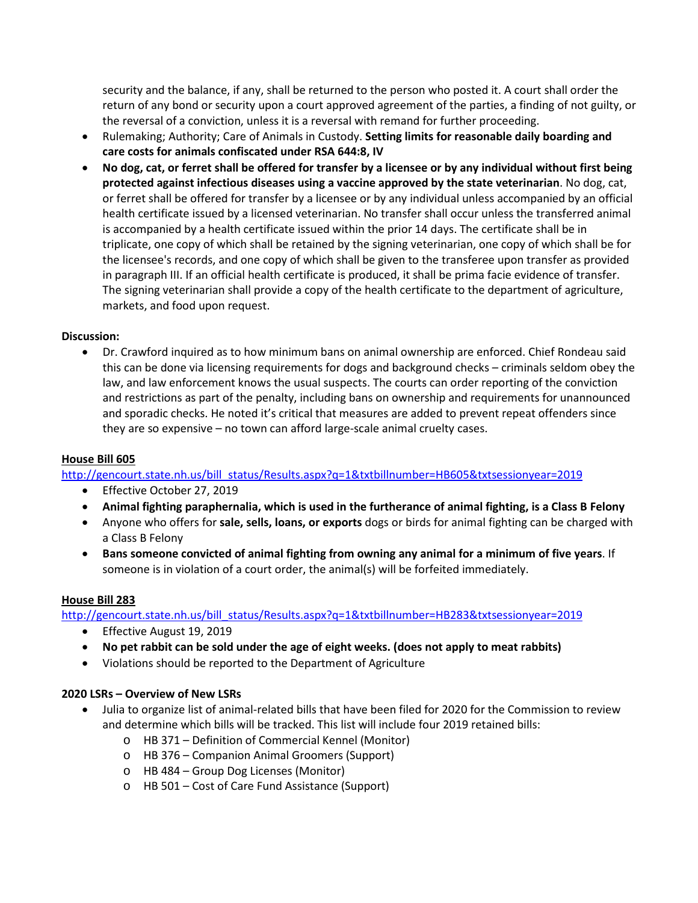security and the balance, if any, shall be returned to the person who posted it. A court shall order the return of any bond or security upon a court approved agreement of the parties, a finding of not guilty, or the reversal of a conviction, unless it is a reversal with remand for further proceeding.

- Rulemaking; Authority; Care of Animals in Custody. **Setting limits for reasonable daily boarding and care costs for animals confiscated under RSA 644:8, IV**
- **No dog, cat, or ferret shall be offered for transfer by a licensee or by any individual without first being protected against infectious diseases using a vaccine approved by the state veterinarian**. No dog, cat, or ferret shall be offered for transfer by a licensee or by any individual unless accompanied by an official health certificate issued by a licensed veterinarian. No transfer shall occur unless the transferred animal is accompanied by a health certificate issued within the prior 14 days. The certificate shall be in triplicate, one copy of which shall be retained by the signing veterinarian, one copy of which shall be for the licensee's records, and one copy of which shall be given to the transferee upon transfer as provided in paragraph III. If an official health certificate is produced, it shall be prima facie evidence of transfer. The signing veterinarian shall provide a copy of the health certificate to the department of agriculture, markets, and food upon request.

# **Discussion:**

• Dr. Crawford inquired as to how minimum bans on animal ownership are enforced. Chief Rondeau said this can be done via licensing requirements for dogs and background checks – criminals seldom obey the law, and law enforcement knows the usual suspects. The courts can order reporting of the conviction and restrictions as part of the penalty, including bans on ownership and requirements for unannounced and sporadic checks. He noted it's critical that measures are added to prevent repeat offenders since they are so expensive – no town can afford large-scale animal cruelty cases.

# **House Bill 605**

[http://gencourt.state.nh.us/bill\\_status/Results.aspx?q=1&txtbillnumber=HB605&txtsessionyear=2019](http://gencourt.state.nh.us/bill_status/Results.aspx?q=1&txtbillnumber=HB605&txtsessionyear=2019)

- Effective October 27, 2019
- **Animal fighting paraphernalia, which is used in the furtherance of animal fighting, is a Class B Felony**
- Anyone who offers for **sale, sells, loans, or exports** dogs or birds for animal fighting can be charged with a Class B Felony
- **Bans someone convicted of animal fighting from owning any animal for a minimum of five years**. If someone is in violation of a court order, the animal(s) will be forfeited immediately.

## **House Bill 283**

[http://gencourt.state.nh.us/bill\\_status/Results.aspx?q=1&txtbillnumber=HB283&txtsessionyear=2019](http://gencourt.state.nh.us/bill_status/Results.aspx?q=1&txtbillnumber=HB283&txtsessionyear=2019)

- Effective August 19, 2019
- **No pet rabbit can be sold under the age of eight weeks. (does not apply to meat rabbits)**
- Violations should be reported to the Department of Agriculture

## **2020 LSRs – Overview of New LSRs**

- Julia to organize list of animal-related bills that have been filed for 2020 for the Commission to review and determine which bills will be tracked. This list will include four 2019 retained bills:
	- o HB 371 Definition of Commercial Kennel (Monitor)
	- o HB 376 Companion Animal Groomers (Support)
	- o HB 484 Group Dog Licenses (Monitor)
	- o HB 501 Cost of Care Fund Assistance (Support)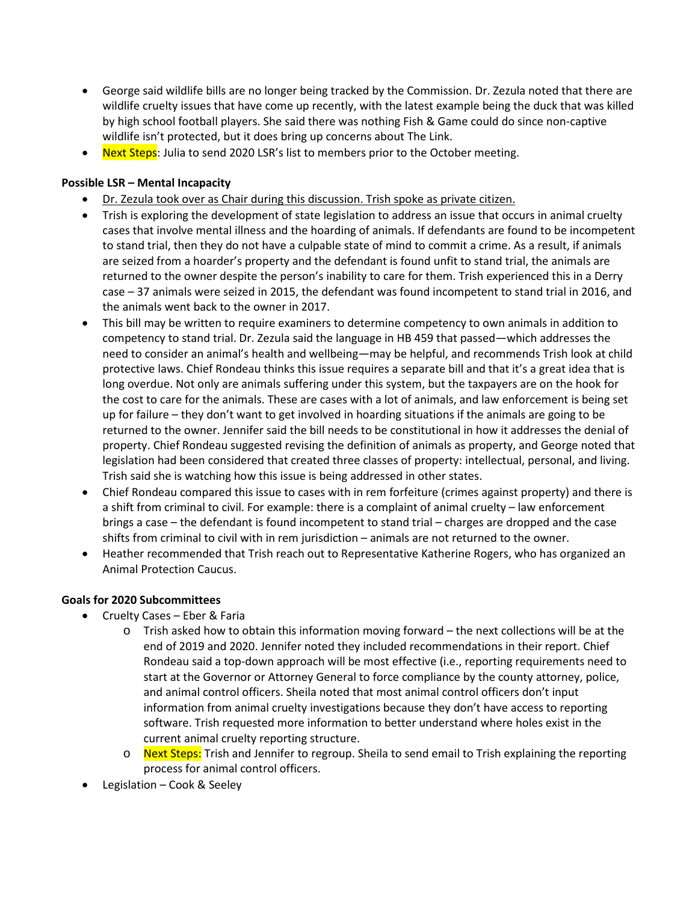- George said wildlife bills are no longer being tracked by the Commission. Dr. Zezula noted that there are wildlife cruelty issues that have come up recently, with the latest example being the duck that was killed by high school football players. She said there was nothing Fish & Game could do since non-captive wildlife isn't protected, but it does bring up concerns about The Link.
- Next Steps: Julia to send 2020 LSR's list to members prior to the October meeting.

# **Possible LSR – Mental Incapacity**

- Dr. Zezula took over as Chair during this discussion. Trish spoke as private citizen.
- Trish is exploring the development of state legislation to address an issue that occurs in animal cruelty cases that involve mental illness and the hoarding of animals. If defendants are found to be incompetent to stand trial, then they do not have a culpable state of mind to commit a crime. As a result, if animals are seized from a hoarder's property and the defendant is found unfit to stand trial, the animals are returned to the owner despite the person's inability to care for them. Trish experienced this in a Derry case – 37 animals were seized in 2015, the defendant was found incompetent to stand trial in 2016, and the animals went back to the owner in 2017.
- This bill may be written to require examiners to determine competency to own animals in addition to competency to stand trial. Dr. Zezula said the language in HB 459 that passed—which addresses the need to consider an animal's health and wellbeing—may be helpful, and recommends Trish look at child protective laws. Chief Rondeau thinks this issue requires a separate bill and that it's a great idea that is long overdue. Not only are animals suffering under this system, but the taxpayers are on the hook for the cost to care for the animals. These are cases with a lot of animals, and law enforcement is being set up for failure – they don't want to get involved in hoarding situations if the animals are going to be returned to the owner. Jennifer said the bill needs to be constitutional in how it addresses the denial of property. Chief Rondeau suggested revising the definition of animals as property, and George noted that legislation had been considered that created three classes of property: intellectual, personal, and living. Trish said she is watching how this issue is being addressed in other states.
- Chief Rondeau compared this issue to cases with in rem forfeiture (crimes against property) and there is a shift from criminal to civil. For example: there is a complaint of animal cruelty – law enforcement brings a case – the defendant is found incompetent to stand trial – charges are dropped and the case shifts from criminal to civil with in rem jurisdiction – animals are not returned to the owner.
- Heather recommended that Trish reach out to Representative Katherine Rogers, who has organized an Animal Protection Caucus.

## **Goals for 2020 Subcommittees**

- Cruelty Cases Eber & Faria
	- $\circ$  Trish asked how to obtain this information moving forward the next collections will be at the end of 2019 and 2020. Jennifer noted they included recommendations in their report. Chief Rondeau said a top-down approach will be most effective (i.e., reporting requirements need to start at the Governor or Attorney General to force compliance by the county attorney, police, and animal control officers. Sheila noted that most animal control officers don't input information from animal cruelty investigations because they don't have access to reporting software. Trish requested more information to better understand where holes exist in the current animal cruelty reporting structure.
	- o Next Steps: Trish and Jennifer to regroup. Sheila to send email to Trish explaining the reporting process for animal control officers.
- Legislation Cook & Seeley